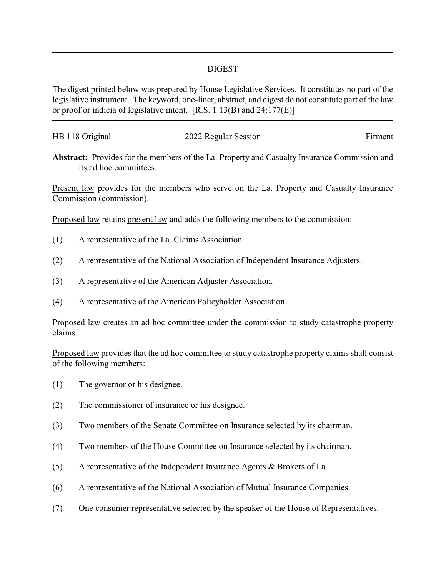## DIGEST

The digest printed below was prepared by House Legislative Services. It constitutes no part of the legislative instrument. The keyword, one-liner, abstract, and digest do not constitute part of the law or proof or indicia of legislative intent. [R.S. 1:13(B) and 24:177(E)]

| HB 118 Original | 2022 Regular Session | Firment |
|-----------------|----------------------|---------|
|                 |                      |         |

**Abstract:** Provides for the members of the La. Property and Casualty Insurance Commission and its ad hoc committees.

Present law provides for the members who serve on the La. Property and Casualty Insurance Commission (commission).

Proposed law retains present law and adds the following members to the commission:

- (1) A representative of the La. Claims Association.
- (2) A representative of the National Association of Independent Insurance Adjusters.
- (3) A representative of the American Adjuster Association.
- (4) A representative of the American Policyholder Association.

Proposed law creates an ad hoc committee under the commission to study catastrophe property claims.

Proposed law provides that the ad hoc committee to study catastrophe property claims shall consist of the following members:

- (1) The governor or his designee.
- (2) The commissioner of insurance or his designee.
- (3) Two members of the Senate Committee on Insurance selected by its chairman.
- (4) Two members of the House Committee on Insurance selected by its chairman.
- (5) A representative of the Independent Insurance Agents & Brokers of La.
- (6) A representative of the National Association of Mutual Insurance Companies.
- (7) One consumer representative selected by the speaker of the House of Representatives.